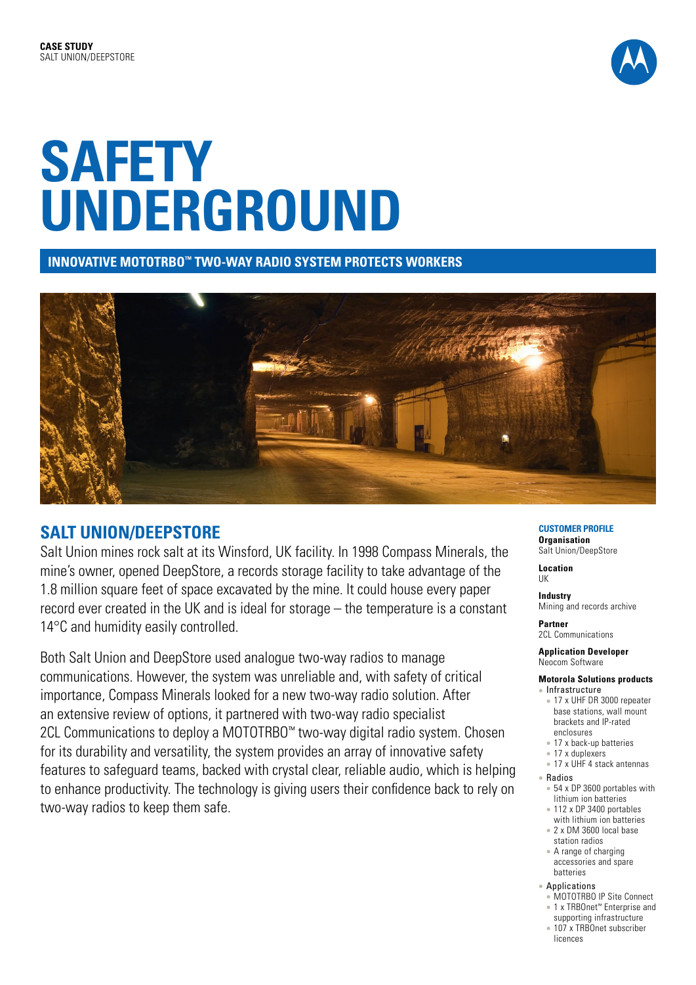

**INNOVATIVE MOTOTRBO™ TWO-WAY RADIO SYSTEM PROTECTS WORKERS** 



# **SALT UNION/DEEPSTORE**

Salt Union mines rock salt at its Winsford, UK facility. In 1998 Compass Minerals, the mine's owner, opened DeepStore, a records storage facility to take advantage of the 1.8 million square feet of space excavated by the mine. It could house every paper record ever created in the UK and is ideal for storage – the temperature is a constant 14°C and humidity easily controlled.

Both Salt Union and DeepStore used analogue two-way radios to manage communications. However, the system was unreliable and, with safety of critical importance, Compass Minerals looked for a new two-way radio solution. After an extensive review of options, it partnered with two-way radio specialist 2CL Communications to deploy a MOTOTRBO™ two-way digital radio system. Chosen for its durability and versatility, the system provides an array of innovative safety features to safeguard teams, backed with crystal clear, reliable audio, which is helping to enhance productivity. The technology is giving users their confidence back to rely on two-way radios to keep them safe.

#### **CUSTOMER PROFILE Organisation**

Salt Union/DeepStore

**Location** UK

**Industry** Mining and records archive

**Partner**  2CL Communications

**Application Developer**  Neocom Software

### **Motorola Solutions products**

- Infrastructure • 17 x UHF DR 3000 repeater base stations, wall mount brackets and IP-rated enclosures
	- 17 x back-up batteries
- $\bullet$  17 x duplexers
- 17 x UHF 4 stack antennas
- Radios
	- $\cdot$  54 x DP 3600 portables with lithium ion batteries
	- $\approx$  112 x DP 3400 portables
	- with lithium ion batteries • 2 x DM 3600 local base
	- station radios  $\bullet$  A range of charging
- accessories and spare batteries
- Applications
- <sup>l</sup> MOTOTRBO IP Site Connect
- <sup>l</sup> 1 x TRBOnet™ Enterprise and supporting infrastructure
- 107 x TRBOnet subscriber
- licences